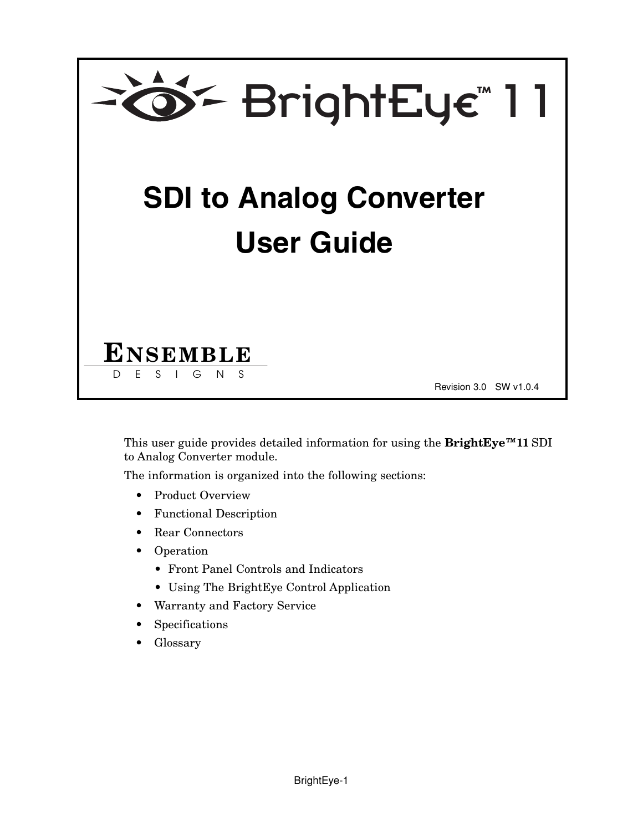

This user guide provides detailed information for using the **BrightEye™11** SDI to Analog Converter module.

The information is organized into the following sections:

- Product Overview
- Functional Description
- Rear Connectors
- Operation
	- Front Panel Controls and Indicators
	- Using The BrightEye Control Application
- Warranty and Factory Service
- **Specifications**
- Glossary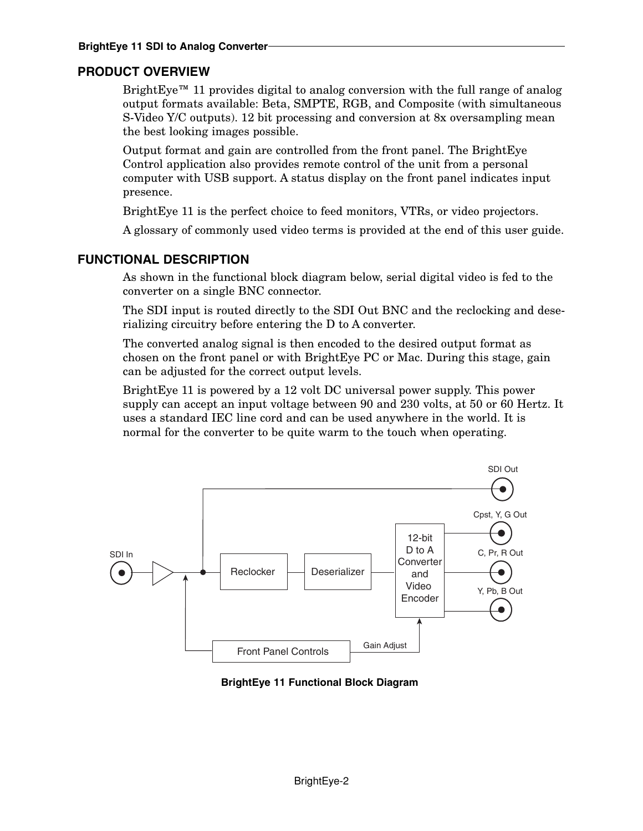# **PRODUCT OVERVIEW**

BrightEye<sup>™</sup> 11 provides digital to analog conversion with the full range of analog output formats available: Beta, SMPTE, RGB, and Composite (with simultaneous S-Video Y/C outputs). 12 bit processing and conversion at 8x oversampling mean the best looking images possible.

Output format and gain are controlled from the front panel. The BrightEye Control application also provides remote control of the unit from a personal computer with USB support. A status display on the front panel indicates input presence.

BrightEye 11 is the perfect choice to feed monitors, VTRs, or video projectors.

A glossary of commonly used video terms is provided at the end of this user guide.

# **FUNCTIONAL DESCRIPTION**

As shown in the functional block diagram below, serial digital video is fed to the converter on a single BNC connector.

The SDI input is routed directly to the SDI Out BNC and the reclocking and deserializing circuitry before entering the D to A converter.

The converted analog signal is then encoded to the desired output format as chosen on the front panel or with BrightEye PC or Mac. During this stage, gain can be adjusted for the correct output levels.

BrightEye 11 is powered by a 12 volt DC universal power supply. This power supply can accept an input voltage between 90 and 230 volts, at 50 or 60 Hertz. It uses a standard IEC line cord and can be used anywhere in the world. It is normal for the converter to be quite warm to the touch when operating.



**BrightEye 11 Functional Block Diagram**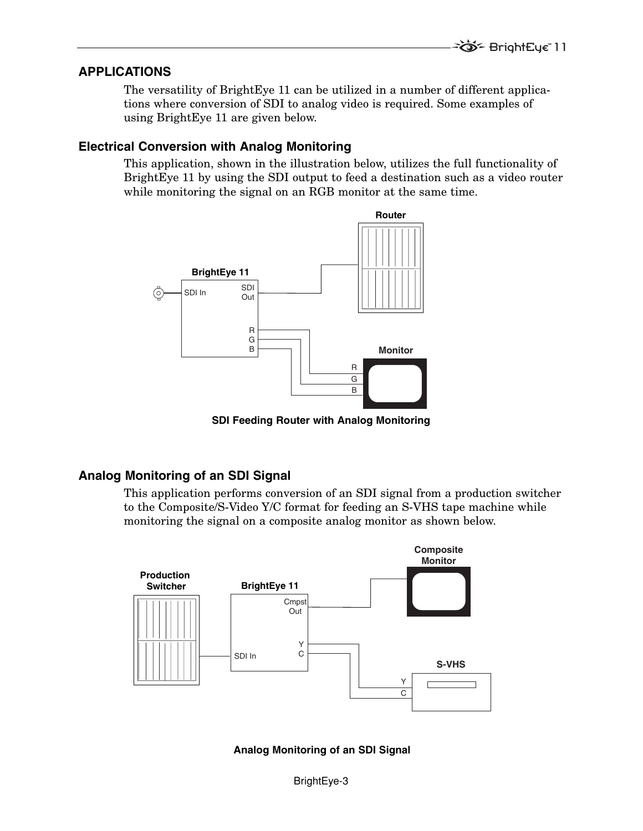#### **APPLICATIONS**

The versatility of BrightEye 11 can be utilized in a number of different applications where conversion of SDI to analog video is required. Some examples of using BrightEye 11 are given below.

#### **Electrical Conversion with Analog Monitoring**

This application, shown in the illustration below, utilizes the full functionality of BrightEye 11 by using the SDI output to feed a destination such as a video router while monitoring the signal on an RGB monitor at the same time.



**SDI Feeding Router with Analog Monitoring** 

### **Analog Monitoring of an SDI Signal**

This application performs conversion of an SDI signal from a production switcher to the Composite/S-Video Y/C format for feeding an S-VHS tape machine while monitoring the signal on a composite analog monitor as shown below.



**Analog Monitoring of an SDI Signal**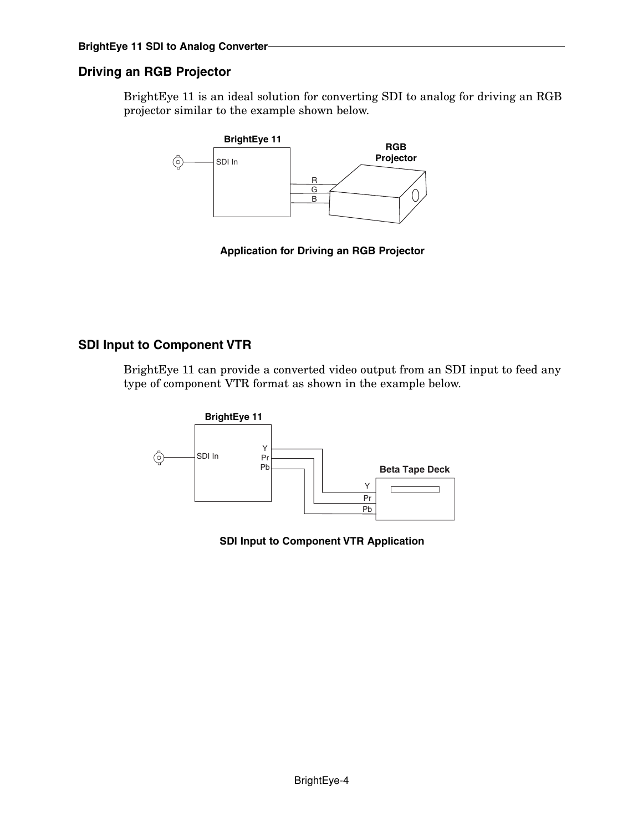# **Driving an RGB Projector**

BrightEye 11 is an ideal solution for converting SDI to analog for driving an RGB projector similar to the example shown below.



**Application for Driving an RGB Projector**

## **SDI Input to Component VTR**

BrightEye 11 can provide a converted video output from an SDI input to feed any type of component VTR format as shown in the example below.



**SDI Input to Component VTR Application**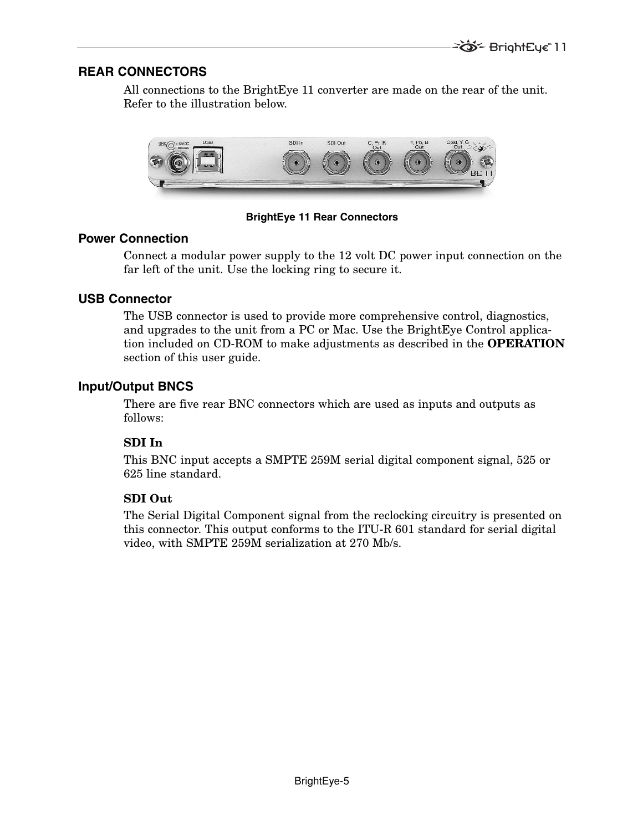## **REAR CONNECTORS**

All connections to the BrightEye 11 converter are made on the rear of the unit. Refer to the illustration below.



**BrightEye 11 Rear Connectors**

#### **Power Connection**

Connect a modular power supply to the 12 volt DC power input connection on the far left of the unit. Use the locking ring to secure it.

### **USB Connector**

The USB connector is used to provide more comprehensive control, diagnostics, and upgrades to the unit from a PC or Mac. Use the BrightEye Control application included on CD-ROM to make adjustments as described in the **OPERATION** section of this user guide.

# **Input/Output BNCS**

There are five rear BNC connectors which are used as inputs and outputs as follows:

### **SDI In**

This BNC input accepts a SMPTE 259M serial digital component signal, 525 or 625 line standard.

### **SDI Out**

The Serial Digital Component signal from the reclocking circuitry is presented on this connector. This output conforms to the ITU-R 601 standard for serial digital video, with SMPTE 259M serialization at 270 Mb/s.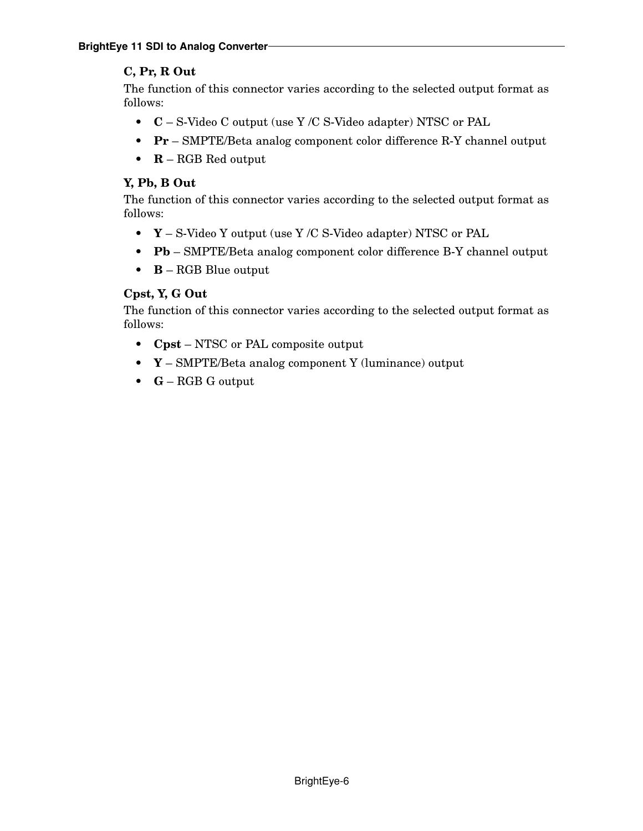# **C, Pr, R Out**

The function of this connector varies according to the selected output format as follows:

- **C** S-Video C output (use Y /C S-Video adapter) NTSC or PAL
- **Pr** SMPTE/Beta analog component color difference R-Y channel output
- **R** RGB Red output

# **Y, Pb, B Out**

The function of this connector varies according to the selected output format as follows:

- **Y** S-Video Y output (use Y /C S-Video adapter) NTSC or PAL
- **Pb** SMPTE/Beta analog component color difference B-Y channel output
- **B** RGB Blue output

# **Cpst, Y, G Out**

The function of this connector varies according to the selected output format as follows:

- **Cpst** NTSC or PAL composite output
- **Y** SMPTE/Beta analog component Y (luminance) output
- **G** RGB G output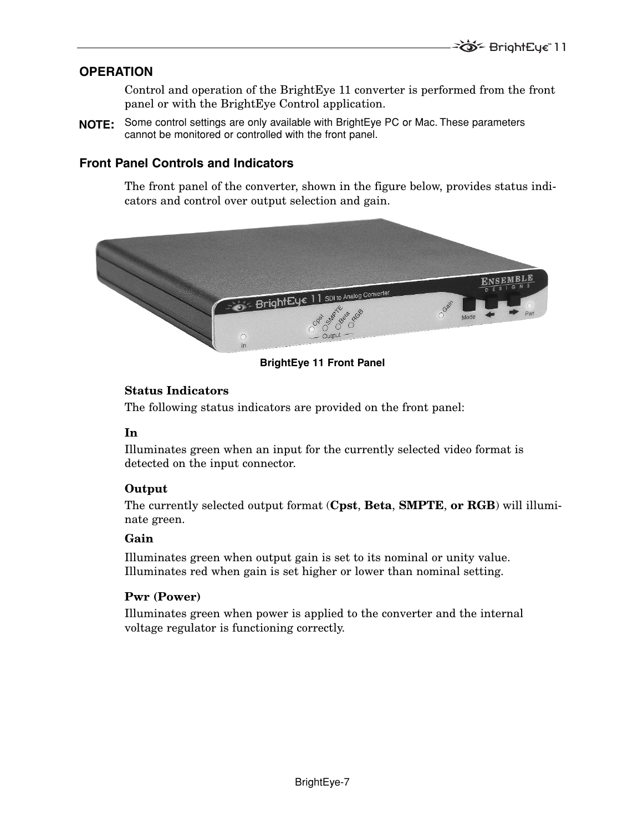# **OPERATION**

Control and operation of the BrightEye 11 converter is performed from the front panel or with the BrightEye Control application.

Some control settings are only available with BrightEye PC or Mac. These parameters **NOTE:**cannot be monitored or controlled with the front panel.

## **Front Panel Controls and Indicators**

The front panel of the converter, shown in the figure below, provides status indicators and control over output selection and gain.



**BrightEye 11 Front Panel**

#### **Status Indicators**

The following status indicators are provided on the front panel:

### **In**

Illuminates green when an input for the currently selected video format is detected on the input connector.

#### **Output**

The currently selected output format (**Cpst**, **Beta**, **SMPTE**, **or RGB**) will illuminate green.

#### **Gain**

Illuminates green when output gain is set to its nominal or unity value. Illuminates red when gain is set higher or lower than nominal setting.

#### **Pwr (Power)**

Illuminates green when power is applied to the converter and the internal voltage regulator is functioning correctly.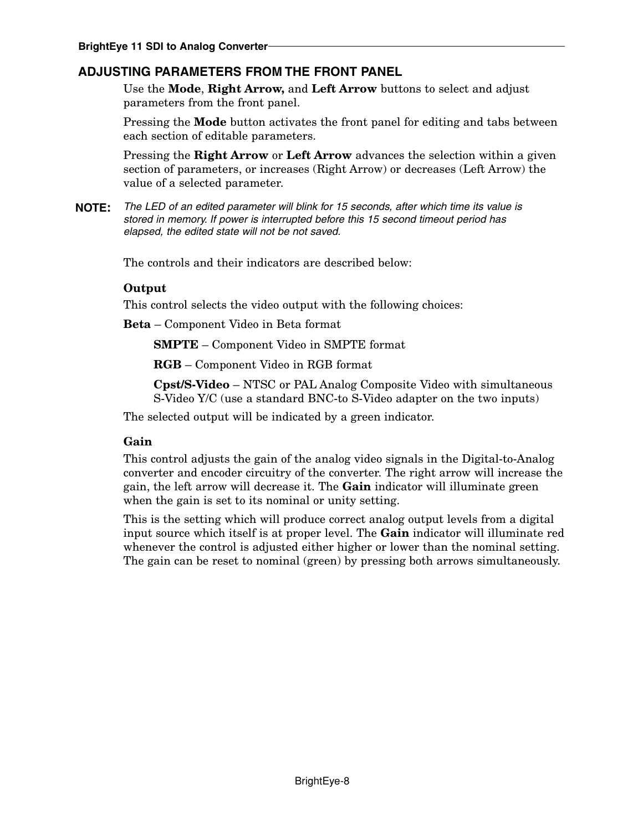# **ADJUSTING PARAMETERS FROM THE FRONT PANEL**

Use the **Mode**, **Right Arrow,** and **Left Arrow** buttons to select and adjust parameters from the front panel.

Pressing the **Mode** button activates the front panel for editing and tabs between each section of editable parameters.

Pressing the **Right Arrow** or **Left Arrow** advances the selection within a given section of parameters, or increases (Right Arrow) or decreases (Left Arrow) the value of a selected parameter.

The LED of an edited parameter will blink for 15 seconds, after which time its value is **NOTE:**stored in memory. If power is interrupted before this 15 second timeout period has elapsed, the edited state will not be not saved.

The controls and their indicators are described below:

#### **Output**

This control selects the video output with the following choices:

**Beta** – Component Video in Beta format

**SMPTE** – Component Video in SMPTE format

**RGB** – Component Video in RGB format

**Cpst/S-Video** – NTSC or PAL Analog Composite Video with simultaneous S-Video Y/C (use a standard BNC-to S-Video adapter on the two inputs)

The selected output will be indicated by a green indicator.

#### **Gain**

This control adjusts the gain of the analog video signals in the Digital-to-Analog converter and encoder circuitry of the converter. The right arrow will increase the gain, the left arrow will decrease it. The **Gain** indicator will illuminate green when the gain is set to its nominal or unity setting.

This is the setting which will produce correct analog output levels from a digital input source which itself is at proper level. The **Gain** indicator will illuminate red whenever the control is adjusted either higher or lower than the nominal setting. The gain can be reset to nominal (green) by pressing both arrows simultaneously.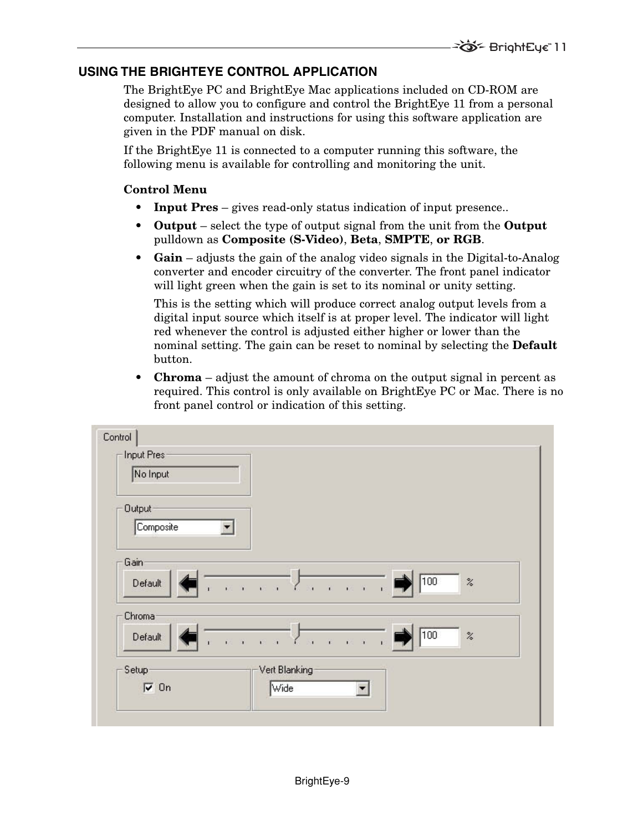# **USING THE BRIGHTEYE CONTROL APPLICATION**

The BrightEye PC and BrightEye Mac applications included on CD-ROM are designed to allow you to configure and control the BrightEye 11 from a personal computer. Installation and instructions for using this software application are given in the PDF manual on disk.

If the BrightEye 11 is connected to a computer running this software, the following menu is available for controlling and monitoring the unit.

#### **Control Menu**

- **Input Pres** gives read-only status indication of input presence..
- **Output** select the type of output signal from the unit from the **Output** pulldown as **Composite (S-Video)**, **Beta**, **SMPTE**, **or RGB**.
- **Gain** adjusts the gain of the analog video signals in the Digital-to-Analog converter and encoder circuitry of the converter. The front panel indicator will light green when the gain is set to its nominal or unity setting.

This is the setting which will produce correct analog output levels from a digital input source which itself is at proper level. The indicator will light red whenever the control is adjusted either higher or lower than the nominal setting. The gain can be reset to nominal by selecting the **Default** button.

**• Chroma** – adjust the amount of chroma on the output signal in percent as required. This control is only available on BrightEye PC or Mac. There is no front panel control or indication of this setting.

| Input Pres-       |                                                                            |
|-------------------|----------------------------------------------------------------------------|
| No Input          |                                                                            |
| <b>Output</b>     |                                                                            |
| Composite         |                                                                            |
|                   |                                                                            |
| Gain              |                                                                            |
| Default           | 100<br>$\sqrt{2\pi}$ and $\sqrt{2}$<br>$\%$<br>$\alpha = 0.15$<br>è        |
| Chroma            |                                                                            |
| Default           | 100<br>$\%$<br>7 н. е. е. н. е<br>$\mathbf{r}=-\mathbf{r}$<br>$\sim 10-11$ |
|                   |                                                                            |
| Setup             | Vert Blanking                                                              |
| $\overline{v}$ On | Wide<br>▼                                                                  |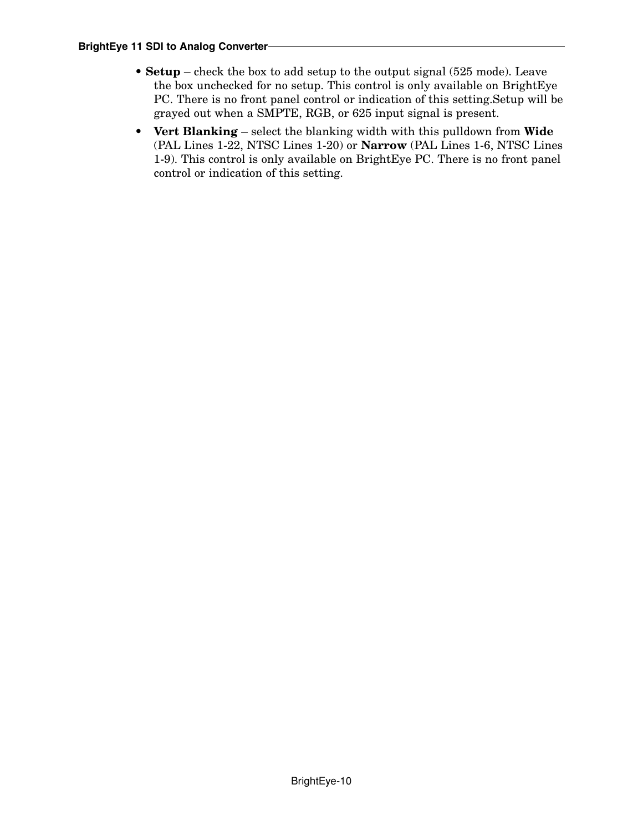- **Setup** check the box to add setup to the output signal (525 mode). Leave the box unchecked for no setup. This control is only available on BrightEye PC. There is no front panel control or indication of this setting.Setup will be grayed out when a SMPTE, RGB, or 625 input signal is present.
- **Vert Blanking** select the blanking width with this pulldown from **Wide** (PAL Lines 1-22, NTSC Lines 1-20) or **Narrow** (PAL Lines 1-6, NTSC Lines 1-9). This control is only available on BrightEye PC. There is no front panel control or indication of this setting.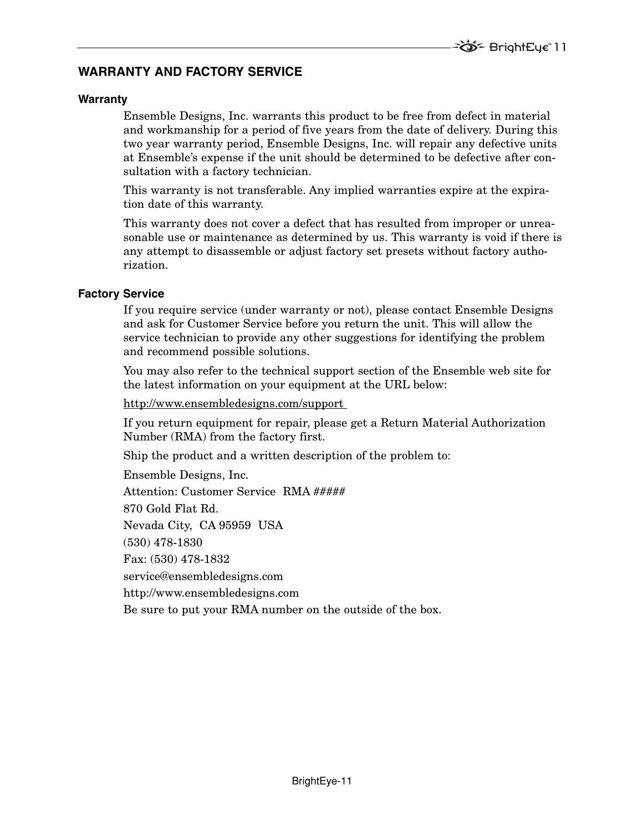# **WARRANTY AND FACTORY SERVICE**

#### **Warranty**

Ensemble Designs, Inc. warrants this product to be free from defect in material and workmanship for a period of five years from the date of delivery. During this two year warranty period, Ensemble Designs, Inc. will repair any defective units at Ensemble's expense if the unit should be determined to be defective after consultation with a factory technician.

This warranty is not transferable. Any implied warranties expire at the expiration date of this warranty.

This warranty does not cover a defect that has resulted from improper or unreasonable use or maintenance as determined by us. This warranty is void if there is any attempt to disassemble or adjust factory set presets without factory authorization.

#### **Factory Service**

If you require service (under warranty or not), please contact Ensemble Designs and ask for Customer Service before you return the unit. This will allow the service technician to provide any other suggestions for identifying the problem and recommend possible solutions.

You may also refer to the technical support section of the Ensemble web site for the latest information on your equipment at the URL below:

http://www.ensembledesigns.com/support

If you return equipment for repair, please get a Return Material Authorization Number (RMA) from the factory first.

Ship the product and a written description of the problem to:

Ensemble Designs, Inc.

Attention: Customer Service RMA #####

870 Gold Flat Rd.

Nevada City, CA 95959 USA

(530) 478-1830

Fax: (530) 478-1832

service@ensembledesigns.com

http://www.ensembledesigns.com

Be sure to put your RMA number on the outside of the box.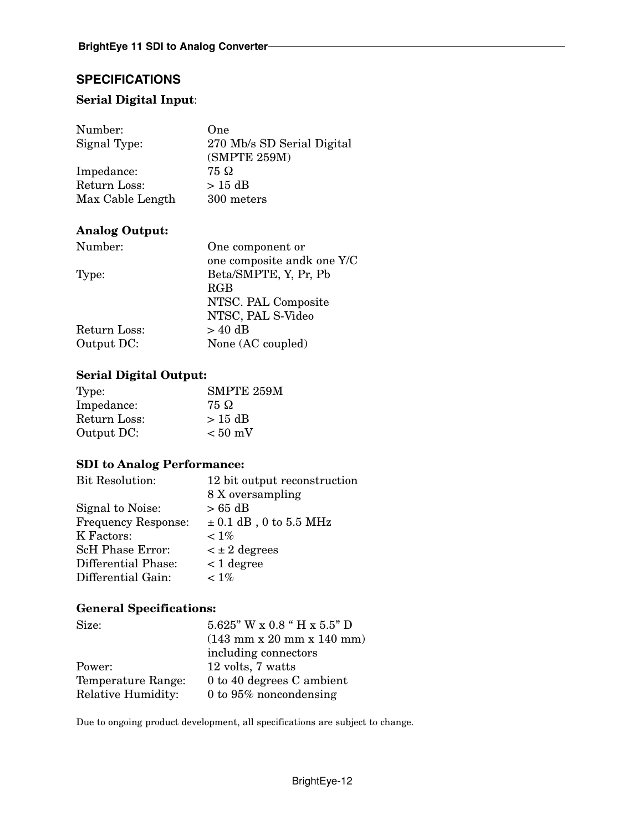# **SPECIFICATIONS**

## **Serial Digital Input**:

| Number:          | One                        |
|------------------|----------------------------|
| Signal Type:     | 270 Mb/s SD Serial Digital |
|                  | (SMPTE 259M)               |
| Impedance:       | 75 Ω                       |
| Return Loss:     | $>15$ dB                   |
| Max Cable Length | 300 meters                 |

### **Analog Output:**

| Number:      | One component or           |
|--------------|----------------------------|
|              | one composite andk one Y/C |
| Type:        | Beta/SMPTE, Y, Pr, Pb      |
|              | <b>RGB</b>                 |
|              | NTSC. PAL Composite        |
|              | NTSC, PAL S-Video          |
| Return Loss: | $> 40$ dB                  |
| Output DC:   | None (AC coupled)          |
|              |                            |

#### **Serial Digital Output:**

| Type:        | <b>SMPTE 259M</b> |
|--------------|-------------------|
| Impedance:   | 75 Ω              |
| Return Loss: | $>15$ dB          |
| Output DC:   | $< 50$ mV         |

### **SDI to Analog Performance:**

| <b>Bit Resolution:</b>     | 12 bit output reconstruction |
|----------------------------|------------------------------|
|                            | 8 X oversampling             |
| Signal to Noise:           | $>65$ dB                     |
| <b>Frequency Response:</b> | $\pm$ 0.1 dB, 0 to 5.5 MHz   |
| K Factors:                 | $< 1\%$                      |
| <b>ScH Phase Error:</b>    | $\lt \pm 2$ degrees          |
| Differential Phase:        | $< 1$ degree                 |
| Differential Gain:         | $< 1\%$                      |
|                            |                              |

# **General Specifications:**

| Size:                     | $5.625"$ W x 0.8 " H x 5.5" D                                 |
|---------------------------|---------------------------------------------------------------|
|                           | $(143 \text{ mm} \times 20 \text{ mm} \times 140 \text{ mm})$ |
|                           | including connectors                                          |
| Power:                    | 12 volts, 7 watts                                             |
| Temperature Range:        | 0 to 40 degrees C ambient                                     |
| <b>Relative Humidity:</b> | 0 to $95\%$ noncondensing                                     |

Due to ongoing product development, all specifications are subject to change.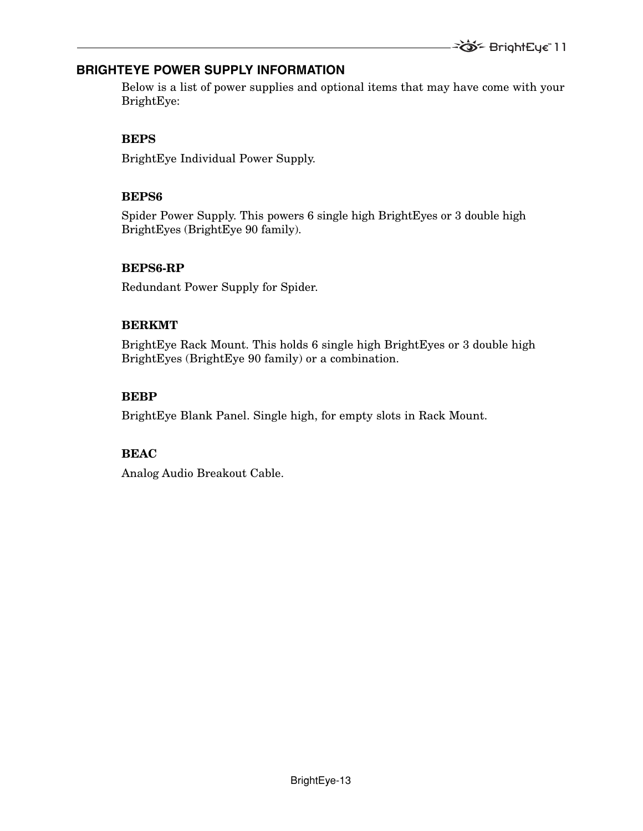# **BRIGHTEYE POWER SUPPLY INFORMATION**

Below is a list of power supplies and optional items that may have come with your BrightEye:

## **BEPS**

BrightEye Individual Power Supply.

# **BEPS6**

Spider Power Supply. This powers 6 single high BrightEyes or 3 double high BrightEyes (BrightEye 90 family).

# **BEPS6-RP**

Redundant Power Supply for Spider.

# **BERKMT**

BrightEye Rack Mount. This holds 6 single high BrightEyes or 3 double high BrightEyes (BrightEye 90 family) or a combination.

# **BEBP**

BrightEye Blank Panel. Single high, for empty slots in Rack Mount.

# **BEAC**

Analog Audio Breakout Cable.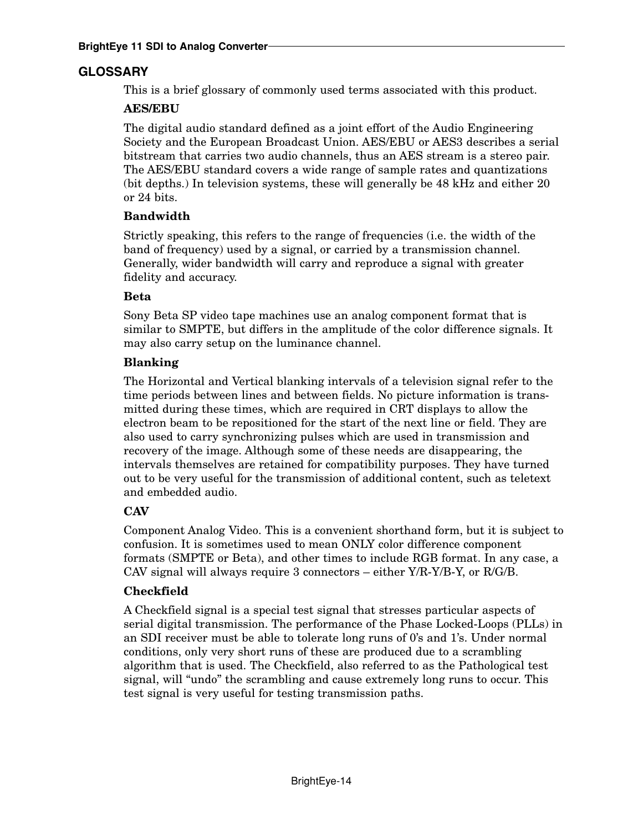# **GLOSSARY**

This is a brief glossary of commonly used terms associated with this product.

## **AES/EBU**

The digital audio standard defined as a joint effort of the Audio Engineering Society and the European Broadcast Union. AES/EBU or AES3 describes a serial bitstream that carries two audio channels, thus an AES stream is a stereo pair. The AES/EBU standard covers a wide range of sample rates and quantizations (bit depths.) In television systems, these will generally be 48 kHz and either 20 or 24 bits.

### **Bandwidth**

Strictly speaking, this refers to the range of frequencies (i.e. the width of the band of frequency) used by a signal, or carried by a transmission channel. Generally, wider bandwidth will carry and reproduce a signal with greater fidelity and accuracy.

### **Beta**

Sony Beta SP video tape machines use an analog component format that is similar to SMPTE, but differs in the amplitude of the color difference signals. It may also carry setup on the luminance channel.

# **Blanking**

The Horizontal and Vertical blanking intervals of a television signal refer to the time periods between lines and between fields. No picture information is transmitted during these times, which are required in CRT displays to allow the electron beam to be repositioned for the start of the next line or field. They are also used to carry synchronizing pulses which are used in transmission and recovery of the image. Although some of these needs are disappearing, the intervals themselves are retained for compatibility purposes. They have turned out to be very useful for the transmission of additional content, such as teletext and embedded audio.

# **CAV**

Component Analog Video. This is a convenient shorthand form, but it is subject to confusion. It is sometimes used to mean ONLY color difference component formats (SMPTE or Beta), and other times to include RGB format. In any case, a CAV signal will always require 3 connectors – either Y/R-Y/B-Y, or R/G/B.

# **Checkfield**

A Checkfield signal is a special test signal that stresses particular aspects of serial digital transmission. The performance of the Phase Locked-Loops (PLLs) in an SDI receiver must be able to tolerate long runs of 0's and 1's. Under normal conditions, only very short runs of these are produced due to a scrambling algorithm that is used. The Checkfield, also referred to as the Pathological test signal, will "undo" the scrambling and cause extremely long runs to occur. This test signal is very useful for testing transmission paths.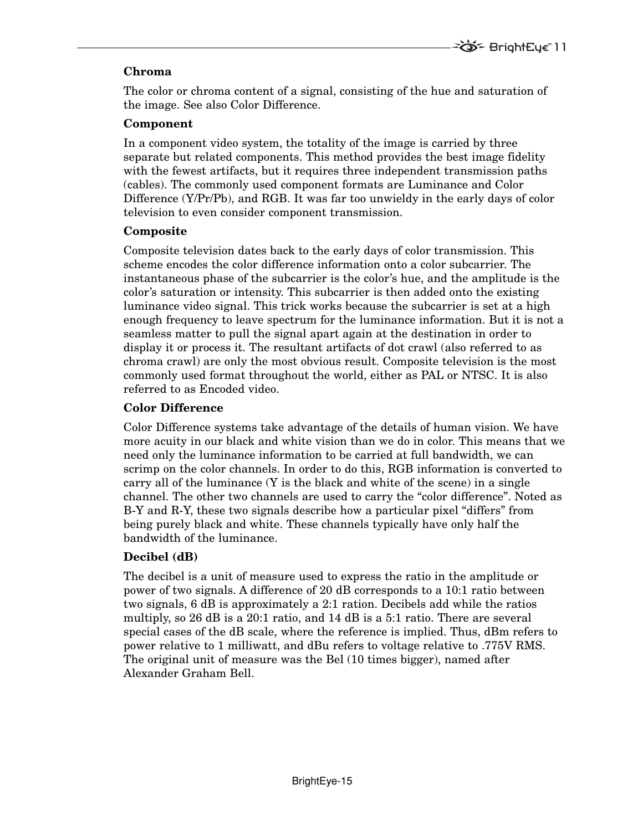# **Chroma**

The color or chroma content of a signal, consisting of the hue and saturation of the image. See also Color Difference.

#### **Component**

In a component video system, the totality of the image is carried by three separate but related components. This method provides the best image fidelity with the fewest artifacts, but it requires three independent transmission paths (cables). The commonly used component formats are Luminance and Color Difference (Y/Pr/Pb), and RGB. It was far too unwieldy in the early days of color television to even consider component transmission.

#### **Composite**

Composite television dates back to the early days of color transmission. This scheme encodes the color difference information onto a color subcarrier. The instantaneous phase of the subcarrier is the color's hue, and the amplitude is the color's saturation or intensity. This subcarrier is then added onto the existing luminance video signal. This trick works because the subcarrier is set at a high enough frequency to leave spectrum for the luminance information. But it is not a seamless matter to pull the signal apart again at the destination in order to display it or process it. The resultant artifacts of dot crawl (also referred to as chroma crawl) are only the most obvious result. Composite television is the most commonly used format throughout the world, either as PAL or NTSC. It is also referred to as Encoded video.

### **Color Difference**

Color Difference systems take advantage of the details of human vision. We have more acuity in our black and white vision than we do in color. This means that we need only the luminance information to be carried at full bandwidth, we can scrimp on the color channels. In order to do this, RGB information is converted to carry all of the luminance  $(Y$  is the black and white of the scene) in a single channel. The other two channels are used to carry the "color difference". Noted as B-Y and R-Y, these two signals describe how a particular pixel "differs" from being purely black and white. These channels typically have only half the bandwidth of the luminance.

### **Decibel (dB)**

The decibel is a unit of measure used to express the ratio in the amplitude or power of two signals. A difference of 20 dB corresponds to a 10:1 ratio between two signals, 6 dB is approximately a 2:1 ration. Decibels add while the ratios multiply, so 26 dB is a 20:1 ratio, and 14 dB is a 5:1 ratio. There are several special cases of the dB scale, where the reference is implied. Thus, dBm refers to power relative to 1 milliwatt, and dBu refers to voltage relative to .775V RMS. The original unit of measure was the Bel (10 times bigger), named after Alexander Graham Bell.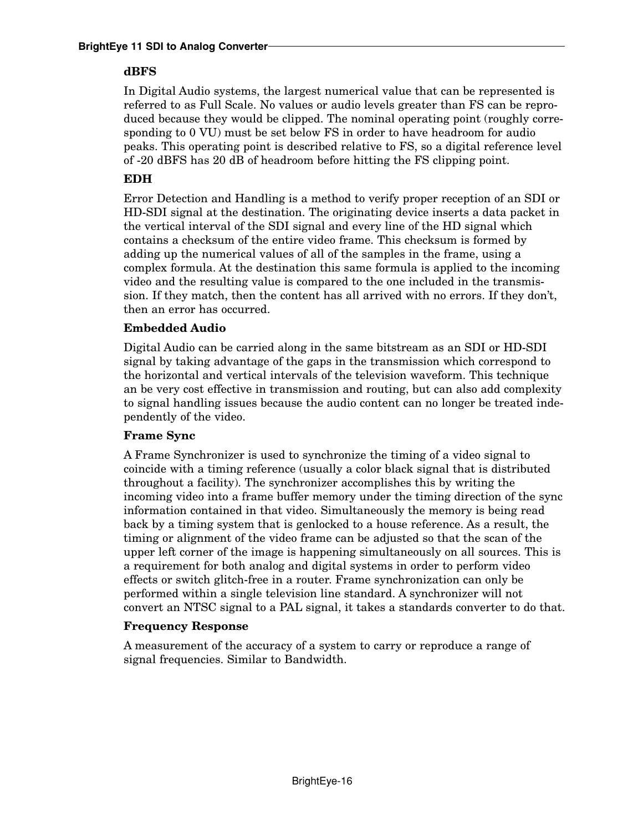## **dBFS**

In Digital Audio systems, the largest numerical value that can be represented is referred to as Full Scale. No values or audio levels greater than FS can be reproduced because they would be clipped. The nominal operating point (roughly corresponding to 0 VU) must be set below FS in order to have headroom for audio peaks. This operating point is described relative to FS, so a digital reference level of -20 dBFS has 20 dB of headroom before hitting the FS clipping point.

# **EDH**

Error Detection and Handling is a method to verify proper reception of an SDI or HD-SDI signal at the destination. The originating device inserts a data packet in the vertical interval of the SDI signal and every line of the HD signal which contains a checksum of the entire video frame. This checksum is formed by adding up the numerical values of all of the samples in the frame, using a complex formula. At the destination this same formula is applied to the incoming video and the resulting value is compared to the one included in the transmission. If they match, then the content has all arrived with no errors. If they don't, then an error has occurred.

# **Embedded Audio**

Digital Audio can be carried along in the same bitstream as an SDI or HD-SDI signal by taking advantage of the gaps in the transmission which correspond to the horizontal and vertical intervals of the television waveform. This technique an be very cost effective in transmission and routing, but can also add complexity to signal handling issues because the audio content can no longer be treated independently of the video.

# **Frame Sync**

A Frame Synchronizer is used to synchronize the timing of a video signal to coincide with a timing reference (usually a color black signal that is distributed throughout a facility). The synchronizer accomplishes this by writing the incoming video into a frame buffer memory under the timing direction of the sync information contained in that video. Simultaneously the memory is being read back by a timing system that is genlocked to a house reference. As a result, the timing or alignment of the video frame can be adjusted so that the scan of the upper left corner of the image is happening simultaneously on all sources. This is a requirement for both analog and digital systems in order to perform video effects or switch glitch-free in a router. Frame synchronization can only be performed within a single television line standard. A synchronizer will not convert an NTSC signal to a PAL signal, it takes a standards converter to do that.

### **Frequency Response**

A measurement of the accuracy of a system to carry or reproduce a range of signal frequencies. Similar to Bandwidth.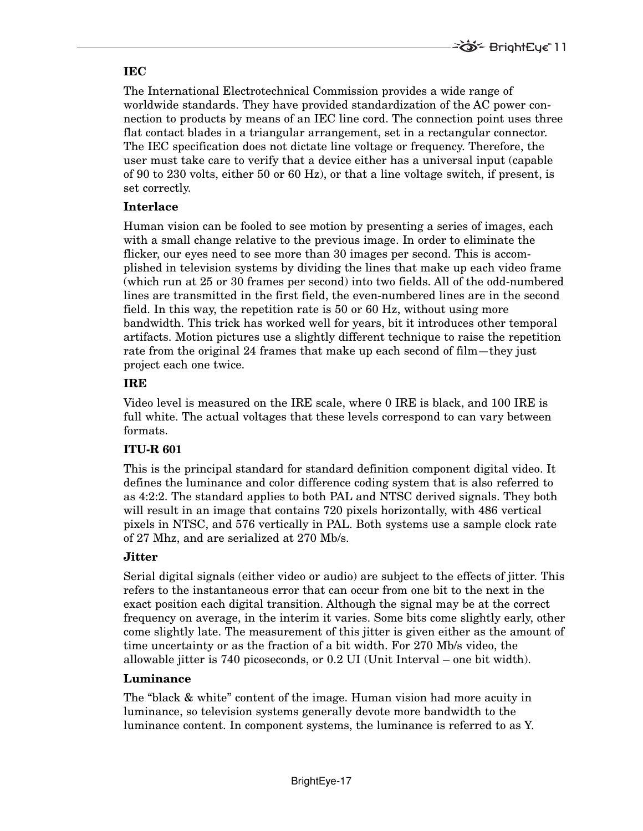### **IEC**

The International Electrotechnical Commission provides a wide range of worldwide standards. They have provided standardization of the AC power connection to products by means of an IEC line cord. The connection point uses three flat contact blades in a triangular arrangement, set in a rectangular connector. The IEC specification does not dictate line voltage or frequency. Therefore, the user must take care to verify that a device either has a universal input (capable of 90 to 230 volts, either 50 or 60 Hz), or that a line voltage switch, if present, is set correctly.

# **Interlace**

Human vision can be fooled to see motion by presenting a series of images, each with a small change relative to the previous image. In order to eliminate the flicker, our eyes need to see more than 30 images per second. This is accomplished in television systems by dividing the lines that make up each video frame (which run at 25 or 30 frames per second) into two fields. All of the odd-numbered lines are transmitted in the first field, the even-numbered lines are in the second field. In this way, the repetition rate is 50 or 60 Hz, without using more bandwidth. This trick has worked well for years, bit it introduces other temporal artifacts. Motion pictures use a slightly different technique to raise the repetition rate from the original 24 frames that make up each second of film—they just project each one twice.

# **IRE**

Video level is measured on the IRE scale, where 0 IRE is black, and 100 IRE is full white. The actual voltages that these levels correspond to can vary between formats.

# **ITU-R 601**

This is the principal standard for standard definition component digital video. It defines the luminance and color difference coding system that is also referred to as 4:2:2. The standard applies to both PAL and NTSC derived signals. They both will result in an image that contains 720 pixels horizontally, with 486 vertical pixels in NTSC, and 576 vertically in PAL. Both systems use a sample clock rate of 27 Mhz, and are serialized at 270 Mb/s.

### **Jitter**

Serial digital signals (either video or audio) are subject to the effects of jitter. This refers to the instantaneous error that can occur from one bit to the next in the exact position each digital transition. Although the signal may be at the correct frequency on average, in the interim it varies. Some bits come slightly early, other come slightly late. The measurement of this jitter is given either as the amount of time uncertainty or as the fraction of a bit width. For 270 Mb/s video, the allowable jitter is 740 picoseconds, or 0.2 UI (Unit Interval – one bit width).

### **Luminance**

The "black & white" content of the image. Human vision had more acuity in luminance, so television systems generally devote more bandwidth to the luminance content. In component systems, the luminance is referred to as Y.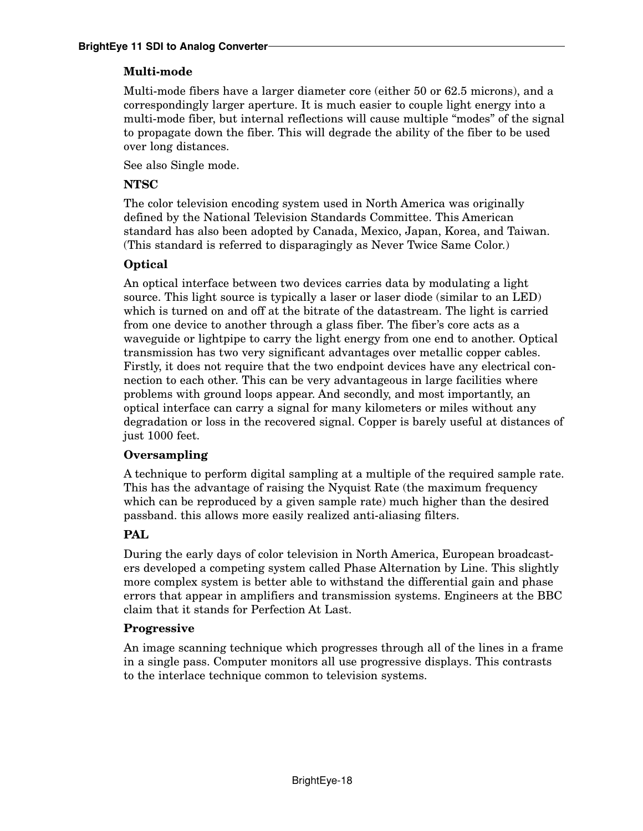# **Multi-mode**

Multi-mode fibers have a larger diameter core (either 50 or 62.5 microns), and a correspondingly larger aperture. It is much easier to couple light energy into a multi-mode fiber, but internal reflections will cause multiple "modes" of the signal to propagate down the fiber. This will degrade the ability of the fiber to be used over long distances.

See also Single mode.

## **NTSC**

The color television encoding system used in North America was originally defined by the National Television Standards Committee. This American standard has also been adopted by Canada, Mexico, Japan, Korea, and Taiwan. (This standard is referred to disparagingly as Never Twice Same Color.)

# **Optical**

An optical interface between two devices carries data by modulating a light source. This light source is typically a laser or laser diode (similar to an LED) which is turned on and off at the bitrate of the datastream. The light is carried from one device to another through a glass fiber. The fiber's core acts as a waveguide or lightpipe to carry the light energy from one end to another. Optical transmission has two very significant advantages over metallic copper cables. Firstly, it does not require that the two endpoint devices have any electrical connection to each other. This can be very advantageous in large facilities where problems with ground loops appear. And secondly, and most importantly, an optical interface can carry a signal for many kilometers or miles without any degradation or loss in the recovered signal. Copper is barely useful at distances of just 1000 feet.

### **Oversampling**

A technique to perform digital sampling at a multiple of the required sample rate. This has the advantage of raising the Nyquist Rate (the maximum frequency which can be reproduced by a given sample rate) much higher than the desired passband. this allows more easily realized anti-aliasing filters.

# **PAL**

During the early days of color television in North America, European broadcasters developed a competing system called Phase Alternation by Line. This slightly more complex system is better able to withstand the differential gain and phase errors that appear in amplifiers and transmission systems. Engineers at the BBC claim that it stands for Perfection At Last.

### **Progressive**

An image scanning technique which progresses through all of the lines in a frame in a single pass. Computer monitors all use progressive displays. This contrasts to the interlace technique common to television systems.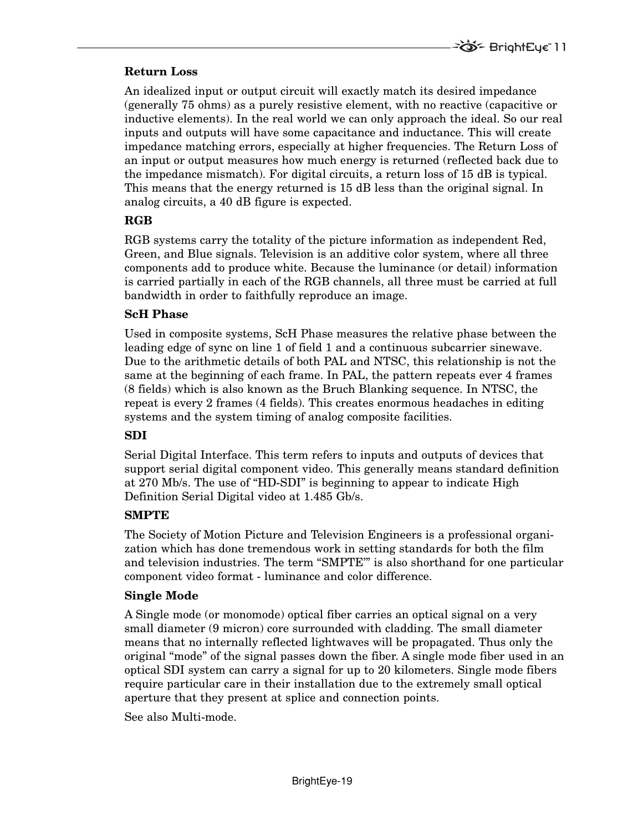### **Return Loss**

An idealized input or output circuit will exactly match its desired impedance (generally 75 ohms) as a purely resistive element, with no reactive (capacitive or inductive elements). In the real world we can only approach the ideal. So our real inputs and outputs will have some capacitance and inductance. This will create impedance matching errors, especially at higher frequencies. The Return Loss of an input or output measures how much energy is returned (reflected back due to the impedance mismatch). For digital circuits, a return loss of 15 dB is typical. This means that the energy returned is 15 dB less than the original signal. In analog circuits, a 40 dB figure is expected.

#### **RGB**

RGB systems carry the totality of the picture information as independent Red, Green, and Blue signals. Television is an additive color system, where all three components add to produce white. Because the luminance (or detail) information is carried partially in each of the RGB channels, all three must be carried at full bandwidth in order to faithfully reproduce an image.

#### **ScH Phase**

Used in composite systems, ScH Phase measures the relative phase between the leading edge of sync on line 1 of field 1 and a continuous subcarrier sinewave. Due to the arithmetic details of both PAL and NTSC, this relationship is not the same at the beginning of each frame. In PAL, the pattern repeats ever 4 frames (8 fields) which is also known as the Bruch Blanking sequence. In NTSC, the repeat is every 2 frames (4 fields). This creates enormous headaches in editing systems and the system timing of analog composite facilities.

### **SDI**

Serial Digital Interface. This term refers to inputs and outputs of devices that support serial digital component video. This generally means standard definition at 270 Mb/s. The use of "HD-SDI" is beginning to appear to indicate High Definition Serial Digital video at 1.485 Gb/s.

#### **SMPTE**

The Society of Motion Picture and Television Engineers is a professional organization which has done tremendous work in setting standards for both the film and television industries. The term "SMPTE'" is also shorthand for one particular component video format - luminance and color difference.

#### **Single Mode**

A Single mode (or monomode) optical fiber carries an optical signal on a very small diameter (9 micron) core surrounded with cladding. The small diameter means that no internally reflected lightwaves will be propagated. Thus only the original "mode" of the signal passes down the fiber. A single mode fiber used in an optical SDI system can carry a signal for up to 20 kilometers. Single mode fibers require particular care in their installation due to the extremely small optical aperture that they present at splice and connection points.

See also Multi-mode.